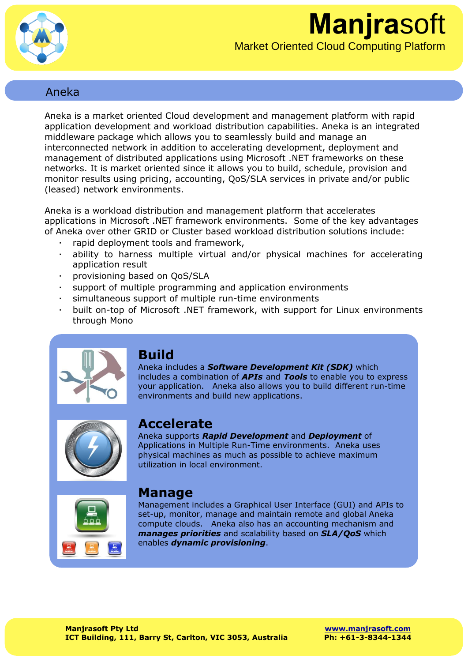

## Aneka

Aneka is a market oriented Cloud development and management platform with rapid application development and workload distribution capabilities. Aneka is an integrated middleware package which allows you to seamlessly build and manage an interconnected network in addition to accelerating development, deployment and management of distributed applications using Microsoft .NET frameworks on these networks. It is market oriented since it allows you to build, schedule, provision and monitor results using pricing, accounting, QoS/SLA services in private and/or public (leased) network environments.

Aneka is a workload distribution and management platform that accelerates applications in Microsoft .NET framework environments. Some of the key advantages of Aneka over other GRID or Cluster based workload distribution solutions include:

- rapid deployment tools and framework,
- · ability to harness multiple virtual and/or physical machines for accelerating application result
- · provisioning based on QoS/SLA
- · support of multiple programming and application environments
- simultaneous support of multiple run-time environments
- · built on-top of Microsoft .NET framework, with support for Linux environments through Mono



# **Build**

Aneka includes a *Software Development Kit (SDK)* which includes a combination of *APIs* and *Tools* to enable you to express your application. Aneka also allows you to build different run-time environments and build new applications.



# **Accelerate**

Aneka supports *Rapid Development* and *Deployment* of Applications in Multiple Run-Time environments. Aneka uses physical machines as much as possible to achieve maximum utilization in local environment.



## **Manage**

Management includes a Graphical User Interface (GUI) and APIs to set-up, monitor, manage and maintain remote and global Aneka compute clouds. Aneka also has an accounting mechanism and *manages priorities* and scalability based on *SLA/QoS* which enables *dynamic provisioning*.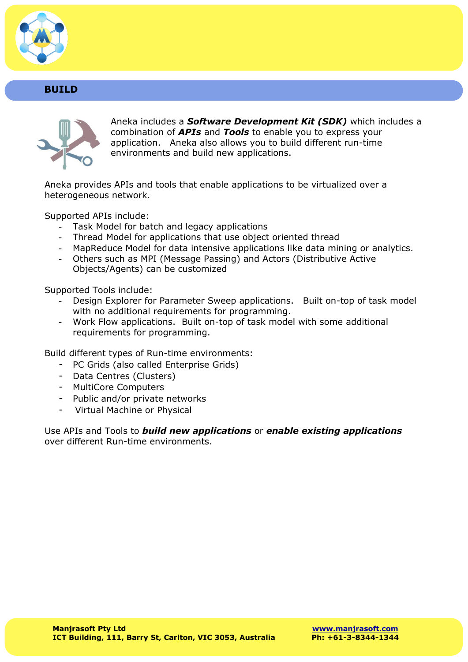

### **BUILD**



Aneka includes a *Software Development Kit (SDK)* which includes a combination of *APIs* and *Tools* to enable you to express your application. Aneka also allows you to build different run-time environments and build new applications.

Aneka provides APIs and tools that enable applications to be virtualized over a heterogeneous network.

Supported APIs include:

- Task Model for batch and legacy applications
- Thread Model for applications that use object oriented thread
- MapReduce Model for data intensive applications like data mining or analytics.
- Others such as MPI (Message Passing) and Actors (Distributive Active Objects/Agents) can be customized

Supported Tools include:

- Design Explorer for Parameter Sweep applications. Built on-top of task model with no additional requirements for programming.
- Work Flow applications. Built on-top of task model with some additional requirements for programming.

Build different types of Run-time environments:

- PC Grids (also called Enterprise Grids)
- Data Centres (Clusters)
- MultiCore Computers
- Public and/or private networks
- Virtual Machine or Physical

Use APIs and Tools to *build new applications* or *enable existing applications*  over different Run-time environments.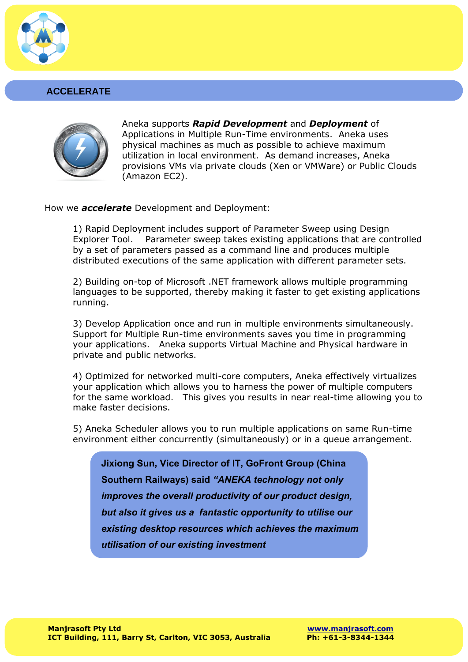

#### **ACCELERATE**



Aneka supports *Rapid Development* and *Deployment* of Applications in Multiple Run-Time environments. Aneka uses physical machines as much as possible to achieve maximum utilization in local environment. As demand increases, Aneka provisions VMs via private clouds (Xen or VMWare) or Public Clouds (Amazon EC2).

How we *accelerate* Development and Deployment:

1) Rapid Deployment includes support of Parameter Sweep using Design Explorer Tool. Parameter sweep takes existing applications that are controlled by a set of parameters passed as a command line and produces multiple distributed executions of the same application with different parameter sets.

2) Building on-top of Microsoft .NET framework allows multiple programming languages to be supported, thereby making it faster to get existing applications running.

3) Develop Application once and run in multiple environments simultaneously. Support for Multiple Run-time environments saves you time in programming your applications. Aneka supports Virtual Machine and Physical hardware in private and public networks.

4) Optimized for networked multi-core computers, Aneka effectively virtualizes your application which allows you to harness the power of multiple computers for the same workload. This gives you results in near real-time allowing you to make faster decisions.

5) Aneka Scheduler allows you to run multiple applications on same Run-time environment either concurrently (simultaneously) or in a queue arrangement.

**Jixiong Sun, Vice Director of IT, GoFront Group (China Southern Railways) said** *"ANEKA technology not only improves the overall productivity of our product design, but also it gives us a fantastic opportunity to utilise our existing desktop resources which achieves the maximum utilisation of our existing investment*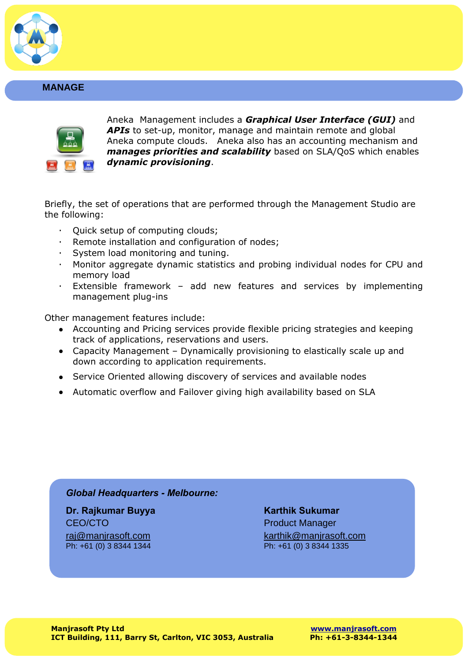

#### **MANAGE**



Aneka Management includes a *Graphical User Interface (GUI)* and *APIs* to set-up, monitor, manage and maintain remote and global Aneka compute clouds. Aneka also has an accounting mechanism and *manages priorities and scalability* based on SLA/QoS which enables *dynamic provisioning*.

Briefly, the set of operations that are performed through the Management Studio are the following:

- · Quick setup of computing clouds;
- · Remote installation and configuration of nodes;
- · System load monitoring and tuning.
- · Monitor aggregate dynamic statistics and probing individual nodes for CPU and memory load
- · Extensible framework add new features and services by implementing management plug-ins

Other management features include:

- Accounting and Pricing services provide flexible pricing strategies and keeping track of applications, reservations and users.
- Capacity Management Dynamically provisioning to elastically scale up and down according to application requirements.
- Service Oriented allowing discovery of services and available nodes
- Automatic overflow and Failover giving high availability based on SLA

#### *Global Headquarters - Melbourne:*

**Dr. Rajkumar Buyya Karthik Sukumar** CEO/CTO **Product Manager** Ph: +61 (0) 3 8344 1344

<u>[raj@manjrasoft.com](mailto:raj@manjrasoft.com)</u><br>Ph:  $+61$  (0) 3 8344 1344<br>Ph:  $+61$  (0) 3 8344 1344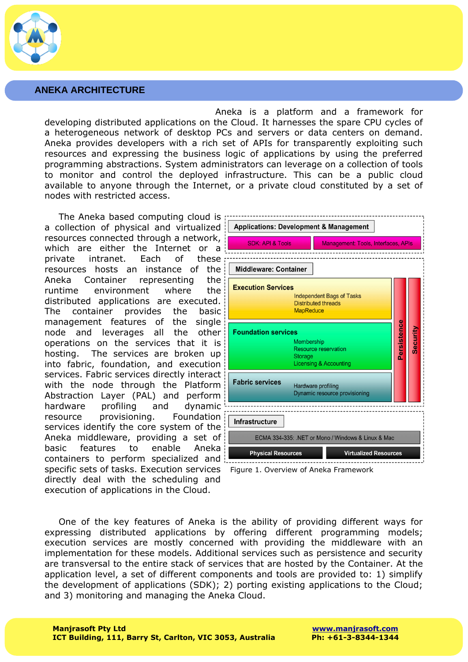

#### **ANEKA ARCHITECTURE**

Aneka is a platform and a framework for developing distributed applications on the Cloud. It harnesses the spare CPU cycles of a heterogeneous network of desktop PCs and servers or data centers on demand. Aneka provides developers with a rich set of APIs for transparently exploiting such resources and expressing the business logic of applications by using the preferred programming abstractions. System administrators can leverage on a collection of tools to monitor and control the deployed infrastructure. This can be a public cloud available to anyone through the Internet, or a private cloud constituted by a set of nodes with restricted access.

The Aneka based computing cloud is a collection of physical and virtualized resources connected through a network, which are either the Internet or a private intranet. Each of these resources hosts an instance of the Aneka Container representing the runtime environment where the distributed applications are executed. The container provides the basic management features of the single node and leverages all the other operations on the services that it is hosting. The services are broken up into fabric, foundation, and execution services. Fabric services directly interact with the node through the Platform Abstraction Layer (PAL) and perform hardware profiling and dynamic resource provisioning. Foundation services identify the core system of the Aneka middleware, providing a set of basic features to enable Aneka containers to perform specialized and specific sets of tasks. Execution services directly deal with the scheduling and execution of applications in the Cloud.





One of the key features of Aneka is the ability of providing different ways for expressing distributed applications by offering different programming models; execution services are mostly concerned with providing the middleware with an implementation for these models. Additional services such as persistence and security are transversal to the entire stack of services that are hosted by the Container. At the application level, a set of different components and tools are provided to: 1) simplify the development of applications (SDK); 2) porting existing applications to the Cloud; and 3) monitoring and managing the Aneka Cloud.